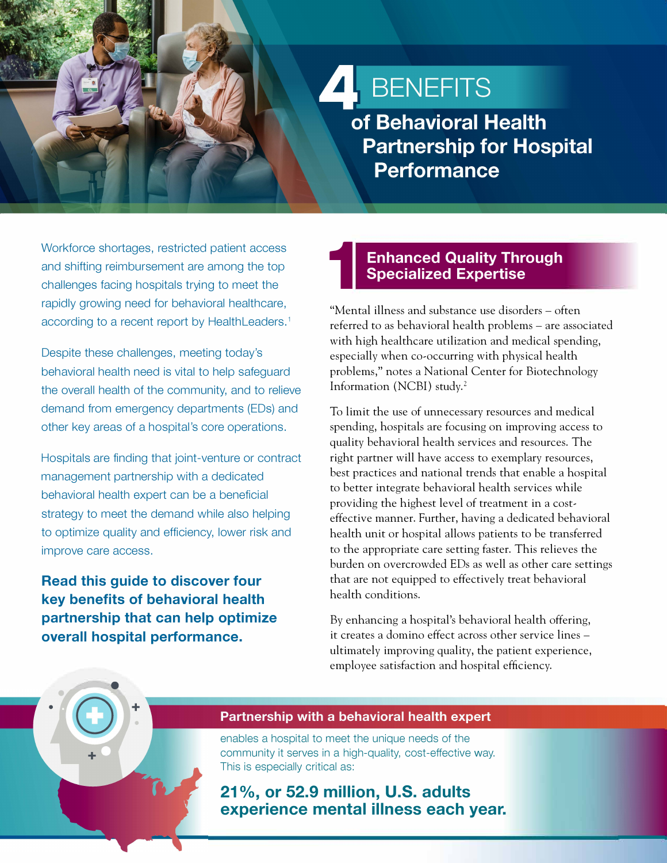# **4 BENEFITS**

of Behavioral Health **Partnership for Hospital Performance** 

Workforce shortages, restricted patient access and shifting reimbursement are among the top challenges facing hospitals trying to meet the rapidly growing need for behavioral healthcare, according to a recent report by HealthLeaders.<sup>1</sup>

Despite these challenges, meeting today's behavioral health need is vital to help safeguard the overall health of the community, and to relieve demand from emergency departments (EDs) and other key areas of a hospital's core operations.

Hospitals are finding that joint-venture or contract management partnership with a dedicated behavioral health expert can be a beneficial strategy to meet the demand while also helping to optimize quality and efficiency, lower risk and improve care access.

**Read this guide to discover four key benefits of behavioral health partnership that can help optimize overall hospital performance.** 

•

## **1 Enhanced Quality Through Specialized Expertise**

"Mental illness and substance use disorders - often referred to as behavioral health problems - are associated with high healthcare utilization and medical spending, especially when co-occurring with physical health problems," notes a National Center for Biotechnology Information (NCBI) study. <sup>2</sup>

To limit the use of unnecessary resources and medical spending, hospitals are focusing on improving access to quality behavioral health services and resources. The right partner will have access to exemplary resources, best practices and national trends that enable a hospital to better integrate behavioral health services while providing the highest level of treatment in a costeffective manner. Further, having a dedicated behavioral health unit or hospital allows patients to be transferred to the appropriate care setting faster. This relieves the burden on overcrowded EDs as well as other care settings that are not equipped to effectively treat behavioral health conditions.

By enhancing a hospital's behavioral health offering, it creates a domino effect across other service lines ultimately improving quality, the patient experience, employee satisfaction and hospital efficiency .

#### Partnership with a behavioral health expert

enables a hospital to meet the unique needs of the community it serves in a high-quality, cost-effective way. This is especially critical as:

**21 %, or 52.9 million, U.S. adults experience mental illness each year.**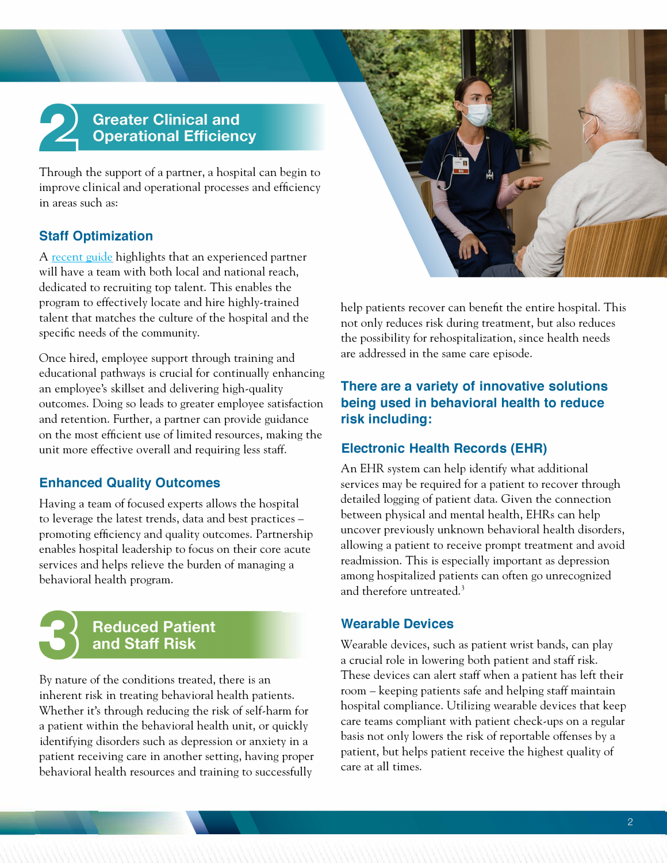# **Greater Clinical and Operational Efficiency**

Through the support of a partner, a hospital can begin to improve clinical and operational processes and efficiency in areas such as:

### **Staff Optimization**

A [recent guide](https://kindredhealthcare.com/our-services/behavioral-health/5-ways-behavioral-health-expertise-benefits-recruitment-and-retention) highlights that an experienced partner will have a team with both local and national reach, dedicated to recruiting top talent. This enables the program to effectively locate and hire highly-trained talent that matches the culture of the hospital and the specific needs of the community.

Once hired, employee support through training and educational pathways is crucial for continually enhancing an employee's skillset and delivering high-quality outcomes. Doing so leads to greater employee satisfaction and retention. Further, a partner can provide guidance on the most efficient use of limited resources, making the unit more effective overall and requiring less staff.

### **Enhanced Quality Outcomes**

Having a team of focused experts allows the hospital to leverage the latest trends, data and best practices promoting efficiency and quality outcomes. Partnership enables hospital leadership to focus on their core acute services and helps relieve the burden of managing a behavioral health program.



By nature of the conditions treated, there is an inherent risk in treating behavioral health patients. Whether it's through reducing the risk of self-harm for a patient within the behavioral health unit, or quickly identifying disorders such as depression or anxiety in a patient receiving care in another setting, having proper behavioral health resources and training to successfully



help patients recover can benefit the entire hospital. This not only reduces risk during treatment, but also reduces the possibility for rehospitalization, since health needs are addressed in the same care episode.

#### **There are a variety of innovative solutions being used in behavioral health to reduce risk including:**

#### **Electronic Health Records (EHR)**

An EHR system can help identify what additional services may be required for a patient to recover through detailed logging of patient data. Given the connection between physical and mental health, EHRs can help uncover previously unknown behavioral health disorders, allowing a patient to receive prompt treatment and avoid readmission. This is especially important as depression among hospitalized patients can often go unrecognized and therefore untreated.<sup>3</sup>

### **Wearable Devices**

Wearable devices, such as patient wrist bands, can play a crucial role in lowering both patient and staff risk. These devices can alert staff when a patient has left their room - keeping patients safe and helping staff maintain hospital compliance. Utilizing wearable devices that keep care teams compliant with patient check-ups on a regular basis not only lowers the risk of reportable offenses by a patient, but helps patient receive the highest quality of care at all times.